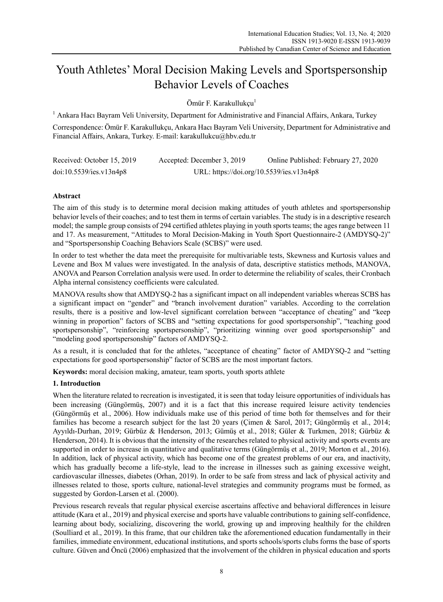# Youth Athletes' Moral Decision Making Levels and Sportspersonship Behavior Levels of Coaches

Ömür F. Karakullukçu<sup>1</sup>

<sup>1</sup> Ankara Hacı Bayram Veli University, Department for Administrative and Financial Affairs, Ankara, Turkey

Correspondence: Ömür F. Karakullukçu, Ankara Hacı Bayram Veli University, Department for Administrative and Financial Affairs, Ankara, Turkey. E-mail: karakullukcu@hbv.edu.tr

| Received: October 15, 2019 | Accepted: December 3, 2019               | Online Published: February 27, 2020 |
|----------------------------|------------------------------------------|-------------------------------------|
| doi:10.5539/ies.v13n4p8    | URL: https://doi.org/10.5539/ies.v13n4p8 |                                     |

# **Abstract**

The aim of this study is to determine moral decision making attitudes of youth athletes and sportspersonship behavior levels of their coaches; and to test them in terms of certain variables. The study is in a descriptive research model; the sample group consists of 294 certified athletes playing in youth sports teams; the ages range between 11 and 17. As measurement, "Attitudes to Moral Decision-Making in Youth Sport Questionnaire-2 (AMDYSQ-2)" and "Sportspersonship Coaching Behaviors Scale (SCBS)" were used.

In order to test whether the data meet the prerequisite for multivariable tests, Skewness and Kurtosis values and Levene and Box M values were investigated. In the analysis of data, descriptive statistics methods, MANOVA, ANOVA and Pearson Correlation analysis were used. In order to determine the reliability of scales, their Cronbach Alpha internal consistency coefficients were calculated.

MANOVA results show that AMDYSQ-2 has a significant impact on all independent variables whereas SCBS has a significant impact on "gender" and "branch involvement duration" variables. According to the correlation results, there is a positive and low-level significant correlation between "acceptance of cheating" and "keep winning in proportion" factors of SCBS and "setting expectations for good sportspersonship", "teaching good sportspersonship", "reinforcing sportspersonship", "prioritizing winning over good sportspersonship" and "modeling good sportspersonship" factors of AMDYSQ-2.

As a result, it is concluded that for the athletes, "acceptance of cheating" factor of AMDYSQ-2 and "setting expectations for good sportspersonship" factor of SCBS are the most important factors.

**Keywords:** moral decision making, amateur, team sports, youth sports athlete

# **1. Introduction**

When the literature related to recreation is investigated, it is seen that today leisure opportunities of individuals has been increasing (Güngörmüş, 2007) and it is a fact that this increase required leisure activity tendencies (Güngörmüş et al., 2006). How individuals make use of this period of time both for themselves and for their families has become a research subject for the last 20 years (Çimen & Sarol, 2017; Güngörmüş et al., 2014; Ayyıldı-Durhan, 2019; Gürbüz & Henderson, 2013; Gümüş et al., 2018; Güler & Turkmen, 2018; Gürbüz & Henderson, 2014). It is obvious that the intensity of the researches related to physical activity and sports events are supported in order to increase in quantitative and qualitative terms (Güngörmüş et al., 2019; Morton et al., 2016). In addition, lack of physical activity, which has become one of the greatest problems of our era, and inactivity, which has gradually become a life-style, lead to the increase in illnesses such as gaining excessive weight, cardiovascular illnesses, diabetes (Orhan, 2019). In order to be safe from stress and lack of physical activity and illnesses related to those, sports culture, national-level strategies and community programs must be formed, as suggested by Gordon-Larsen et al. (2000).

Previous research reveals that regular physical exercise ascertains affective and behavioral differences in leisure attitude (Kara et al., 2019) and physical exercise and sports have valuable contributions to gaining self-confidence, learning about body, socializing, discovering the world, growing up and improving healthily for the children (Soulliard et al., 2019). In this frame, that our children take the aforementioned education fundamentally in their families, immediate environment, educational institutions, and sports schools/sports clubs forms the base of sports culture. Güven and Öncü (2006) emphasized that the involvement of the children in physical education and sports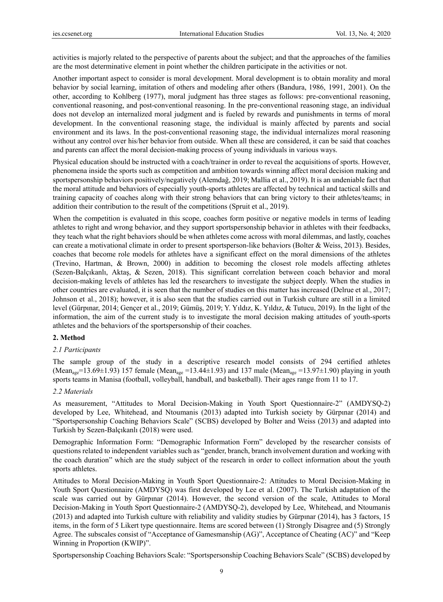activities is majorly related to the perspective of parents about the subject; and that the approaches of the families are the most determinative element in point whether the children participate in the activities or not.

Another important aspect to consider is moral development. Moral development is to obtain morality and moral behavior by social learning, imitation of others and modeling after others (Bandura, 1986, 1991, 2001). On the other, according to Kohlberg (1977), moral judgment has three stages as follows: pre-conventional reasoning, conventional reasoning, and post-conventional reasoning. In the pre-conventional reasoning stage, an individual does not develop an internalized moral judgment and is fueled by rewards and punishments in terms of moral development. In the conventional reasoning stage, the individual is mainly affected by parents and social environment and its laws. In the post-conventional reasoning stage, the individual internalizes moral reasoning without any control over his/her behavior from outside. When all these are considered, it can be said that coaches and parents can affect the moral decision-making process of young individuals in various ways.

Physical education should be instructed with a coach/trainer in order to reveal the acquisitions of sports. However, phenomena inside the sports such as competition and ambition towards winning affect moral decision making and sportspersonship behaviors positively/negatively (Alemdağ, 2019; Mallia et al., 2019). It is an undeniable fact that the moral attitude and behaviors of especially youth-sports athletes are affected by technical and tactical skills and training capacity of coaches along with their strong behaviors that can bring victory to their athletes/teams; in addition their contribution to the result of the competitions (Spruit et al., 2019).

When the competition is evaluated in this scope, coaches form positive or negative models in terms of leading athletes to right and wrong behavior, and they support sportspersonship behavior in athletes with their feedbacks, they teach what the right behaviors should be when athletes come across with moral dilemmas, and lastly, coaches can create a motivational climate in order to present sportsperson-like behaviors (Bolter & Weiss, 2013). Besides, coaches that become role models for athletes have a significant effect on the moral dimensions of the athletes (Trevino, Hartman, & Brown, 2000) in addition to becoming the closest role models affecting athletes (Sezen-Balçıkanlı, Aktaş, & Sezen, 2018). This significant correlation between coach behavior and moral decision-making levels of athletes has led the researchers to investigate the subject deeply. When the studies in other countries are evaluated, it is seen that the number of studies on this matter has increased (Delrue et al., 2017; Johnson et al., 2018); however, it is also seen that the studies carried out in Turkish culture are still in a limited level (Gürpınar, 2014; Gençer et al., 2019; Gümüş, 2019; Y. Yıldız, K. Yıldız, & Tutucu, 2019). In the light of the information, the aim of the current study is to investigate the moral decision making attitudes of youth-sports athletes and the behaviors of the sportspersonship of their coaches.

## **2. Method**

### *2.1 Participants*

The sample group of the study in a descriptive research model consists of 294 certified athletes (Mean<sub>age</sub>=13.69±1.93) 157 female (Mean<sub>age</sub> =13.44±1.93) and 137 male (Mean<sub>age</sub> =13.97±1.90) playing in youth sports teams in Manisa (football, volleyball, handball, and basketball). Their ages range from 11 to 17.

#### *2.2 Materials*

As measurement, "Attitudes to Moral Decision-Making in Youth Sport Questionnaire-2" (AMDYSQ-2) developed by Lee, Whitehead, and Ntoumanis (2013) adapted into Turkish society by Gürpınar (2014) and "Sportspersonship Coaching Behaviors Scale" (SCBS) developed by Bolter and Weiss (2013) and adapted into Turkish by Sezen-Balçıkanlı (2018) were used.

Demographic Information Form: "Demographic Information Form" developed by the researcher consists of questions related to independent variables such as "gender, branch, branch involvement duration and working with the coach duration" which are the study subject of the research in order to collect information about the youth sports athletes.

Attitudes to Moral Decision-Making in Youth Sport Questionnaire-2: Attitudes to Moral Decision-Making in Youth Sport Questionnaire (AMDYSQ) was first developed by Lee et al. (2007). The Turkish adaptation of the scale was carried out by Gürpınar (2014). However, the second version of the scale, Attitudes to Moral Decision-Making in Youth Sport Questionnaire-2 (AMDYSQ-2), developed by Lee, Whitehead, and Ntoumanis (2013) and adapted into Turkish culture with reliability and validity studies by Gürpınar (2014), has 3 factors, 15 items, in the form of 5 Likert type questionnaire. Items are scored between (1) Strongly Disagree and (5) Strongly Agree. The subscales consist of "Acceptance of Gamesmanship (AG)", Acceptance of Cheating (AC)" and "Keep Winning in Proportion (KWIP)".

Sportspersonship Coaching Behaviors Scale: "Sportspersonship Coaching Behaviors Scale" (SCBS) developed by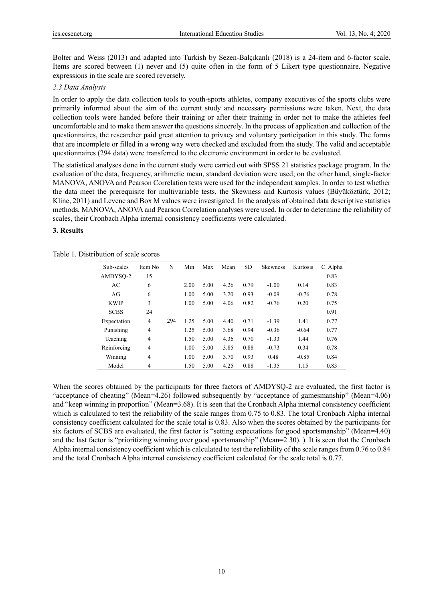Bolter and Weiss (2013) and adapted into Turkish by Sezen-Balçıkanlı (2018) is a 24-item and 6-factor scale. Items are scored between (1) never and (5) quite often in the form of 5 Likert type questionnaire. Negative expressions in the scale are scored reversely.

## *2.3 Data Analysis*

In order to apply the data collection tools to youth-sports athletes, company executives of the sports clubs were primarily informed about the aim of the current study and necessary permissions were taken. Next, the data collection tools were handed before their training or after their training in order not to make the athletes feel uncomfortable and to make them answer the questions sincerely. In the process of application and collection of the questionnaires, the researcher paid great attention to privacy and voluntary participation in this study. The forms that are incomplete or filled in a wrong way were checked and excluded from the study. The valid and acceptable questionnaires (294 data) were transferred to the electronic environment in order to be evaluated.

The statistical analyses done in the current study were carried out with SPSS 21 statistics package program. In the evaluation of the data, frequency, arithmetic mean, standard deviation were used; on the other hand, single-factor MANOVA, ANOVA and Pearson Correlation tests were used for the independent samples. In order to test whether the data meet the prerequisite for multivariable tests, the Skewness and Kurtosis values (Büyüköztürk, 2012; Kline, 2011) and Levene and Box M values were investigated. In the analysis of obtained data descriptive statistics methods, MANOVA, ANOVA and Pearson Correlation analyses were used. In order to determine the reliability of scales, their Cronbach Alpha internal consistency coefficients were calculated.

## **3. Results**

Table 1. Distribution of scale scores

| Sub-scales  | Item No.       | N   | Min  | Max  | Mean | <b>SD</b> | <b>Skewness</b> | Kurtosis | C. Alpha |
|-------------|----------------|-----|------|------|------|-----------|-----------------|----------|----------|
| AMDYSO-2    | 15             |     |      |      |      |           |                 |          | 0.83     |
| AC          | 6              |     | 2.00 | 5.00 | 4.26 | 0.79      | $-1.00$         | 0.14     | 0.83     |
| AG          | 6              |     | 1.00 | 5.00 | 3.20 | 0.93      | $-0.09$         | $-0.76$  | 0.78     |
| <b>KWIP</b> | 3              |     | 1.00 | 5.00 | 4.06 | 0.82      | $-0.76$         | 0.20     | 0.75     |
| <b>SCBS</b> | 24             |     |      |      |      |           |                 |          | 0.91     |
| Expectation | 4              | 294 | 1.25 | 5.00 | 4.40 | 0.71      | $-1.39$         | 1.41     | 0.77     |
| Punishing   | $\overline{4}$ |     | 1.25 | 5.00 | 3.68 | 0.94      | $-0.36$         | $-0.64$  | 0.77     |
| Teaching    | $\overline{4}$ |     | 1.50 | 5.00 | 4.36 | 0.70      | $-1.33$         | 1.44     | 0.76     |
| Reinforcing | $\overline{4}$ |     | 1.00 | 5.00 | 3.85 | 0.88      | $-0.73$         | 0.34     | 0.78     |
| Winning     | $\overline{4}$ |     | 1.00 | 5.00 | 3.70 | 0.93      | 0.48            | $-0.85$  | 0.84     |
| Model       | 4              |     | 1.50 | 5.00 | 4.25 | 0.88      | $-1.35$         | 1.15     | 0.83     |

When the scores obtained by the participants for three factors of AMDYSQ-2 are evaluated, the first factor is "acceptance of cheating" (Mean=4.26) followed subsequently by "acceptance of gamesmanship" (Mean=4.06) and "keep winning in proportion" (Mean=3.68). It is seen that the Cronbach Alpha internal consistency coefficient which is calculated to test the reliability of the scale ranges from 0.75 to 0.83. The total Cronbach Alpha internal consistency coefficient calculated for the scale total is 0.83. Also when the scores obtained by the participants for six factors of SCBS are evaluated, the first factor is "setting expectations for good sportsmanship" (Mean=4.40) and the last factor is "prioritizing winning over good sportsmanship" (Mean=2.30). ). It is seen that the Cronbach Alpha internal consistency coefficient which is calculated to test the reliability of the scale ranges from 0.76 to 0.84 and the total Cronbach Alpha internal consistency coefficient calculated for the scale total is 0.77.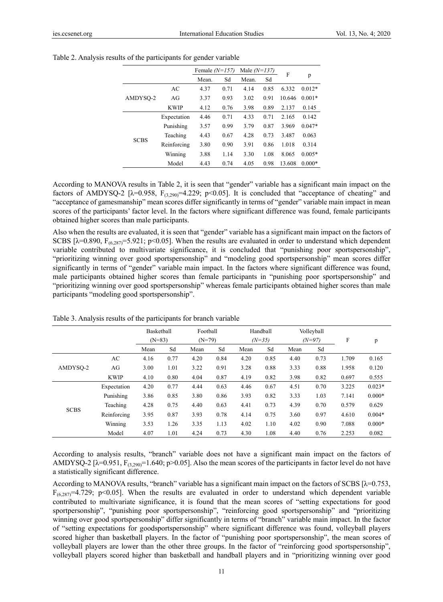|             |             | Female $(N=157)$ |      | Male $(N=137)$ |      |        |          |
|-------------|-------------|------------------|------|----------------|------|--------|----------|
|             |             | Mean.            | Sd   | Mean.          | Sd   | F      | p        |
|             | AC          | 4.37             | 0.71 | 4.14           | 0.85 | 6.332  | $0.012*$ |
| AMDYSO-2    | AGr         | 3.37             | 0.93 | 3.02           | 0.91 | 10.646 | $0.001*$ |
|             | <b>KWIP</b> | 4.12             | 0.76 | 3.98           | 0.89 | 2.137  | 0.145    |
|             | Expectation | 4.46             | 0.71 | 4.33           | 0.71 | 2.165  | 0.142    |
|             | Punishing   | 3.57             | 0.99 | 3.79           | 0.87 | 3.969  | $0.047*$ |
|             | Teaching    | 4.43             | 0.67 | 4.28           | 0.73 | 3.487  | 0.063    |
| <b>SCBS</b> | Reinforcing | 3.80             | 0.90 | 3.91           | 0.86 | 1.018  | 0.314    |
|             | Winning     | 3.88             | 1.14 | 3.30           | 1.08 | 8.065  | $0.005*$ |
|             | Model       | 4.43             | 0.74 | 4.05           | 0.98 | 13.608 | $0.000*$ |

| Table 2. Analysis results of the participants for gender variable |  |
|-------------------------------------------------------------------|--|
|                                                                   |  |

According to MANOVA results in Table 2, it is seen that "gender" variable has a significant main impact on the factors of AMDYSQ-2 [ $\lambda$ =0.958, F<sub>(3,290</sub>=4.229; p<0.05]. It is concluded that "acceptance of cheating" and "acceptance of gamesmanship" mean scores differ significantly in terms of "gender" variable main impact in mean scores of the participants' factor level. In the factors where significant difference was found, female participants obtained higher scores than male participants.

Also when the results are evaluated, it is seen that "gender" variable has a significant main impact on the factors of SCBS [ $\lambda$ =0.890, F<sub>(6,287)</sub>=5.921; p<0.05]. When the results are evaluated in order to understand which dependent variable contributed to multivariate significance, it is concluded that "punishing poor sportspersonship", "prioritizing winning over good sportspersonship" and "modeling good sportspersonship" mean scores differ significantly in terms of "gender" variable main impact. In the factors where significant difference was found, male participants obtained higher scores than female participants in "punishing poor sportspersonship" and "prioritizing winning over good sportspersonship" whereas female participants obtained higher scores than male participants "modeling good sportspersonship".

|             |             | Basketball |                      |      | Football |      | Handball |      | Volleyball |       | p        |
|-------------|-------------|------------|----------------------|------|----------|------|----------|------|------------|-------|----------|
|             |             |            | $(N=79)$<br>$(N=83)$ |      | $(N=35)$ |      | $(N=97)$ |      | F          |       |          |
|             |             | Mean       | Sd                   | Mean | Sd       | Mean | Sd       | Mean | Sd         |       |          |
|             | AC          | 4.16       | 0.77                 | 4.20 | 0.84     | 4.20 | 0.85     | 4.40 | 0.73       | 1.709 | 0.165    |
| AMDYSO-2    | AG          | 3.00       | 1.01                 | 3.22 | 0.91     | 3.28 | 0.88     | 3.33 | 0.88       | 1.958 | 0.120    |
|             | <b>KWIP</b> | 4.10       | 0.80                 | 4.04 | 0.87     | 4.19 | 0.82     | 3.98 | 0.82       | 0.697 | 0.555    |
|             | Expectation | 4.20       | 0.77                 | 4.44 | 0.63     | 4.46 | 0.67     | 4.51 | 0.70       | 3.225 | $0.023*$ |
|             | Punishing   | 3.86       | 0.85                 | 3.80 | 0.86     | 3.93 | 0.82     | 3.33 | 1.03       | 7.141 | $0.000*$ |
| <b>SCBS</b> | Teaching    | 4.28       | 0.75                 | 4.40 | 0.63     | 4.41 | 0.73     | 4.39 | 0.70       | 0.579 | 0.629    |
|             | Reinforcing | 3.95       | 0.87                 | 3.93 | 0.78     | 4.14 | 0.75     | 3.60 | 0.97       | 4.610 | $0.004*$ |
|             | Winning     | 3.53       | 1.26                 | 3.35 | 1.13     | 4.02 | 1.10     | 4.02 | 0.90       | 7.088 | $0.000*$ |
|             | Model       | 4.07       | 1.01                 | 4.24 | 0.73     | 4.30 | 1.08     | 4.40 | 0.76       | 2.253 | 0.082    |

Table 3. Analysis results of the participants for branch variable

According to analysis results, "branch" variable does not have a significant main impact on the factors of AMDYSQ-2 [ $\lambda$ =0.951, F<sub>(3,290</sub>)=1.640; p>0.05]. Also the mean scores of the participants in factor level do not have a statistically significant difference.

According to MANOVA results, "branch" variable has a significant main impact on the factors of SCBS  $[\lambda=0.753]$ ,  $F_{(6,287)}=4.729$ ; p<0.05]. When the results are evaluated in order to understand which dependent variable contributed to multivariate significance, it is found that the mean scores of "setting expectations for good sportpersonship", "punishing poor sportspersonship", "reinforcing good sportspersonship" and "prioritizing winning over good sportspersonship" differ significantly in terms of "branch" variable main impact. In the factor of "setting expectations for goodsportspersonship" where significant difference was found, volleyball players scored higher than basketball players. In the factor of "punishing poor sportspersonship", the mean scores of volleyball players are lower than the other three groups. In the factor of "reinforcing good sportspersonship", volleyball players scored higher than basketball and handball players and in "prioritizing winning over good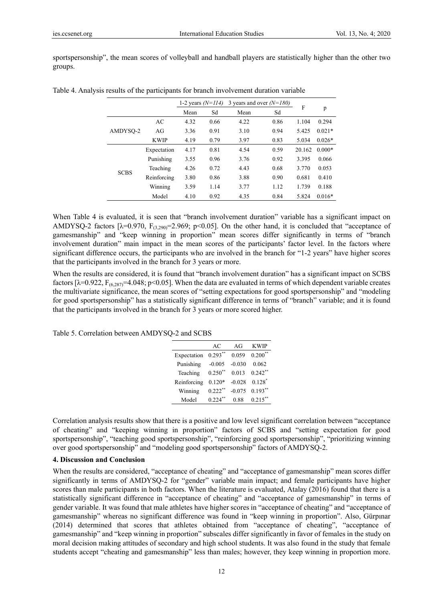sportspersonship", the mean scores of volleyball and handball players are statistically higher than the other two groups.

|             |             | 3 years and over $(N=180)$<br>1-2 years $(N=114)$ |      |      | F    |        |          |
|-------------|-------------|---------------------------------------------------|------|------|------|--------|----------|
|             |             | Mean                                              | Sd   | Mean | Sd   |        | p        |
| AMDYSO-2    | AC          | 4.32                                              | 0.66 | 4.22 | 0.86 | 1.104  | 0.294    |
|             | AG          | 3.36                                              | 0.91 | 3.10 | 0.94 | 5.425  | $0.021*$ |
|             | <b>KWIP</b> | 4.19                                              | 0.79 | 3.97 | 0.83 | 5.034  | $0.026*$ |
| <b>SCBS</b> | Expectation | 4.17                                              | 0.81 | 4.54 | 0.59 | 20.162 | $0.000*$ |
|             | Punishing   | 3.55                                              | 0.96 | 3.76 | 0.92 | 3.395  | 0.066    |
|             | Teaching    | 4.26                                              | 0.72 | 4.43 | 0.68 | 3.770  | 0.053    |
|             | Reinforcing | 3.80                                              | 0.86 | 3.88 | 0.90 | 0.681  | 0.410    |
|             | Winning     | 3.59                                              | 1.14 | 3.77 | 1.12 | 1.739  | 0.188    |
|             | Model       | 4.10                                              | 0.92 | 4.35 | 0.84 | 5.824  | $0.016*$ |

Table 4. Analysis results of the participants for branch involvement duration variable

When Table 4 is evaluated, it is seen that "branch involvement duration" variable has a significant impact on AMDYSQ-2 factors  $[\lambda=0.970, F_{(3,290)}=2.969; p<0.05]$ . On the other hand, it is concluded that "acceptance of gamesmanship" and "keep winning in proportion" mean scores differ significantly in terms of "branch involvement duration" main impact in the mean scores of the participants' factor level. In the factors where significant difference occurs, the participants who are involved in the branch for "1-2 years" have higher scores that the participants involved in the branch for 3 years or more.

When the results are considered, it is found that "branch involvement duration" has a significant impact on SCBS factors  $[\lambda=0.922, F_{(6,287)}=4.048; p<0.05]$ . When the data are evaluated in terms of which dependent variable creates the multivariate significance, the mean scores of "setting expectations for good sportspersonship" and "modeling for good sportspersonship" has a statistically significant difference in terms of "branch" variable; and it is found that the participants involved in the branch for 3 years or more scored higher.

Table 5. Correlation between AMDYSQ-2 and SCBS

|             | AC         | AGr      | <b>KWIP</b>           |
|-------------|------------|----------|-----------------------|
| Expectation | $0.293***$ | 0.059    | $0.200$ <sup>**</sup> |
| Punishing   | $-0.005$   | $-0.030$ | 0.062                 |
| Teaching    | $0.250$ ** | 0.013    | $0.242$ **            |
| Reinforcing | $0.120*$   | $-0.028$ | $0.128$ <sup>*</sup>  |
| Winning     | $0.222**$  | $-0.075$ | $0.193***$            |
| Model       | $0.224$ ** | 0.88     | $0.215$ **            |

Correlation analysis results show that there is a positive and low level significant correlation between "acceptance of cheating" and "keeping winning in proportion" factors of SCBS and "setting expectation for good sportspersonship", "teaching good sportspersonship", "reinforcing good sportspersonship", "prioritizing winning over good sportspersonship" and "modeling good sportspersonship" factors of AMDYSQ-2.

### **4. Discussion and Conclusion**

When the results are considered, "acceptance of cheating" and "acceptance of gamesmanship" mean scores differ significantly in terms of AMDYSQ-2 for "gender" variable main impact; and female participants have higher scores than male participants in both factors. When the literature is evaluated, Atalay (2016) found that there is a statistically significant difference in "acceptance of cheating" and "acceptance of gamesmanship" in terms of gender variable. It was found that male athletes have higher scores in "acceptance of cheating" and "acceptance of gamesmanship" whereas no significant difference was found in "keep winning in proportion". Also, Gürpınar (2014) determined that scores that athletes obtained from "acceptance of cheating", "acceptance of gamesmanship" and "keep winning in proportion" subscales differ significantly in favor of females in the study on moral decision making attitudes of secondary and high school students. It was also found in the study that female students accept "cheating and gamesmanship" less than males; however, they keep winning in proportion more.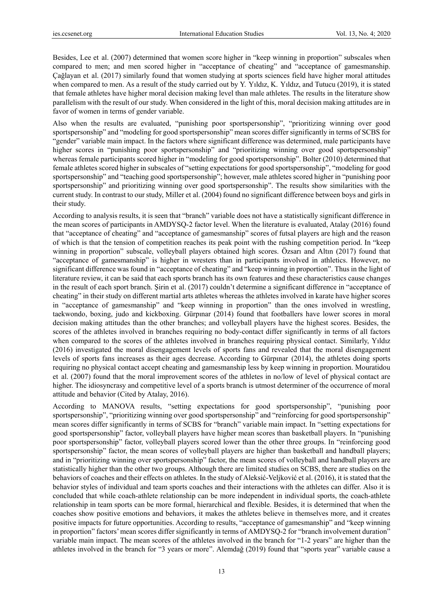Besides, Lee et al. (2007) determined that women score higher in "keep winning in proportion" subscales when compared to men; and men scored higher in "acceptance of cheating" and "acceptance of gamesmanship. Çağlayan et al. (2017) similarly found that women studying at sports sciences field have higher moral attitudes when compared to men. As a result of the study carried out by Y. Yıldız, K. Yıldız, and Tutucu (2019), it is stated that female athletes have higher moral decision making level than male athletes. The results in the literature show parallelism with the result of our study. When considered in the light of this, moral decision making attitudes are in favor of women in terms of gender variable.

Also when the results are evaluated, "punishing poor sportspersonship", "prioritizing winning over good sportspersonship" and "modeling for good sportspersonship" mean scores differ significantly in terms of SCBS for "gender" variable main impact. In the factors where significant difference was determined, male participants have higher scores in "punishing poor sportspersonship" and "prioritizing winning over good sportspersonship" whereas female participants scored higher in "modeling for good sportspersonship". Bolter (2010) determined that female athletes scored higher in subscales of "setting expectations for good sportspersonship", "modeling for good sportspersonship" and "teaching good sportspersonship"; however, male athletes scored higher in "punishing poor sportspersonship" and prioritizing winning over good sportspersonship". The results show similarities with the current study. In contrast to our study, Miller et al. (2004) found no significant difference between boys and girls in their study.

According to analysis results, it is seen that "branch" variable does not have a statistically significant difference in the mean scores of participants in AMDYSQ-2 factor level. When the literature is evaluated, Atalay (2016) found that "acceptance of cheating" and "acceptance of gamesmanship" scores of futsal players are high and the reason of which is that the tension of competition reaches its peak point with the rushing competition period. In "keep winning in proportion" subscale, volleyball players obtained high scores. Özsarı and Altın (2017) found that "acceptance of gamesmanship" is higher in wresters than in participants involved in athletics. However, no significant difference was found in "acceptance of cheating" and "keep winning in proportion". Thus in the light of literature review, it can be said that each sports branch has its own features and these characteristics cause changes in the result of each sport branch. Şirin et al. (2017) couldn't determine a significant difference in "acceptance of cheating" in their study on different martial arts athletes whereas the athletes involved in karate have higher scores in "acceptance of gamesmanship" and "keep winning in proportion" than the ones involved in wrestling, taekwondo, boxing, judo and kickboxing. Gürpınar (2014) found that footballers have lower scores in moral decision making attitudes than the other branches; and volleyball players have the highest scores. Besides, the scores of the athletes involved in branches requiring no body-contact differ significantly in terms of all factors when compared to the scores of the athletes involved in branches requiring physical contact. Similarly, Yıldız (2016) investigated the moral disengagement levels of sports fans and revealed that the moral disengagement levels of sports fans increases as their ages decrease. According to Gürpınar (2014), the athletes doing sports requiring no physical contact accept cheating and gamesmanship less by keep winning in proportion. Mouratidou et al. (2007) found that the moral improvement scores of the athletes in no/low of level of physical contact are higher. The idiosyncrasy and competitive level of a sports branch is utmost determiner of the occurrence of moral attitude and behavior (Cited by Atalay, 2016).

According to MANOVA results, "setting expectations for good sportspersonship", "punishing poor sportspersonship", "prioritizing winning over good sportspersonship" and "reinforcing for good sportspersonship" mean scores differ significantly in terms of SCBS for "branch" variable main impact. In "setting expectations for good sportspersonship" factor, volleyball players have higher mean scores than basketball players. In "punishing poor sportspersonship" factor, volleyball players scored lower than the other three groups. In "reinforcing good sportspersonship" factor, the mean scores of volleyball players are higher than basketball and handball players; and in "prioritizing winning over sportspersonship" factor, the mean scores of volleyball and handball players are statistically higher than the other two groups. Although there are limited studies on SCBS, there are studies on the behaviors of coaches and their effects on athletes. In the study of Aleksić-Veljković et al. (2016), it is stated that the behavior styles of individual and team sports coaches and their interactions with the athletes can differ. Also it is concluded that while coach-athlete relationship can be more independent in individual sports, the coach-athlete relationship in team sports can be more formal, hierarchical and flexible. Besides, it is determined that when the coaches show positive emotions and behaviors, it makes the athletes believe in themselves more, and it creates positive impacts for future opportunities. According to results, "acceptance of gamesmanship" and "keep winning in proportion" factors' mean scores differ significantly in terms of AMDYSQ-2 for "branch involvement duration" variable main impact. The mean scores of the athletes involved in the branch for "1-2 years" are higher than the athletes involved in the branch for "3 years or more". Alemdağ (2019) found that "sports year" variable cause a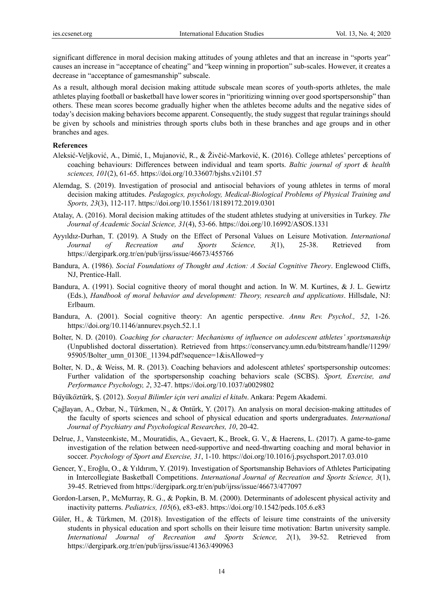significant difference in moral decision making attitudes of young athletes and that an increase in "sports year" causes an increase in "acceptance of cheating" and "keep winning in proportion" sub-scales. However, it creates a decrease in "acceptance of gamesmanship" subscale.

As a result, although moral decision making attitude subscale mean scores of youth-sports athletes, the male athletes playing football or basketball have lower scores in "prioritizing winning over good sportspersonship" than others. These mean scores become gradually higher when the athletes become adults and the negative sides of today's decision making behaviors become apparent. Consequently, the study suggest that regular trainings should be given by schools and ministries through sports clubs both in these branches and age groups and in other branches and ages.

#### **References**

- Aleksić-Veljković, A., Dimić, I., Mujanović, R., & Živčić-Marković, K. (2016). College athletes' perceptions of coaching behaviours: Differences between individual and team sports. *Baltic journal of sport & health sciences, 101*(2), 61-65. https://doi.org/10.33607/bjshs.v2i101.57
- Alemdag, S. (2019). Investigation of prosocial and antisocial behaviors of young athletes in terms of moral decision making attitudes. *Pedagogics, psychology, Medical-Biological Problems of Physical Training and Sports, 23*(3), 112-117. https://doi.org/10.15561/18189172.2019.0301
- Atalay, A. (2016). Moral decision making attitudes of the student athletes studying at universities in Turkey. *The Journal of Academic Social Science, 31*(4), 53-66. https://doi.org/10.16992/ASOS.1331
- Ayyıldız-Durhan, T. (2019). A Study on the Effect of Personal Values on Leisure Motivation. *International Journal of Recreation and Sports Science, 3*(1), 25-38. Retrieved from https://dergipark.org.tr/en/pub/ijrss/issue/46673/455766
- Bandura, A. (1986). *Social Foundations of Thought and Action: A Social Cognitive Theory*. Englewood Cliffs, NJ, Prentice-Hall.
- Bandura, A. (1991). Social cognitive theory of moral thought and action. In W. M. Kurtines, & J. L. Gewirtz (Eds.), *Handbook of moral behavior and development: Theory, research and applications*. Hillsdale, NJ: Erlbaum.
- Bandura, A. (2001). Social cognitive theory: An agentic perspective. *Annu Rev. Psychol., 52*, 1-26. https://doi.org/10.1146/annurev.psych.52.1.1
- Bolter, N. D. (2010). *Coaching for character: Mechanisms of influence on adolescent athletes' sportsmanship* (Unpublished doctoral dissertation). Retrieved from https://conservancy.umn.edu/bitstream/handle/11299/ 95905/Bolter\_umn\_0130E\_11394.pdf?sequence=1&isAllowed=y
- Bolter, N. D., & Weiss, M. R. (2013). Coaching behaviors and adolescent athletes' sportspersonship outcomes: Further validation of the sportspersonship coaching behaviors scale (SCBS). *Sport, Exercise, and Performance Psychology, 2*, 32-47. https://doi.org/10.1037/a0029802
- Buሷyuሷkoሷztuሷrk, Ş. (2012). *Sosyal Bilimler ic*̧*in veri analizi el kitabı*. Ankara: Pegem Akademi.
- Cağlayan, A., Ozbar, N., Türkmen, N., & Ontürk, Y. (2017). An analysis on moral decision-making attitudes of the faculty of sports sciences and school of physical education and sports undergraduates. *International Journal of Psychiatry and Psychological Researches, 10*, 20-42.
- Delrue, J., Vansteenkiste, M., Mouratidis, A., Gevaert, K., Broek, G. V., & Haerens, L. (2017). A game-to-game investigation of the relation between need-supportive and need-thwarting coaching and moral behavior in soccer. *Psychology of Sport and Exercise, 31*, 1-10. https://doi.org/10.1016/j.psychsport.2017.03.010
- Gencer, Y., Eroğlu, O., & Yıldırım, Y. (2019). Investigation of Sportsmanship Behaviors of Athletes Participating in Intercollegiate Basketball Competitions. *International Journal of Recreation and Sports Science, 3*(1), 39-45. Retrieved from https://dergipark.org.tr/en/pub/ijrss/issue/46673/477097
- Gordon-Larsen, P., McMurray, R. G., & Popkin, B. M. (2000). Determinants of adolescent physical activity and inactivity patterns. *Pediatrics, 105*(6), e83-e83. https://doi.org/10.1542/peds.105.6.e83
- Güler, H., & Türkmen, M. (2018). Investigation of the effects of leisure time constraints of the university students in physical education and sport scholls on their leisure time motivation: Bartın university sample. *International Journal of Recreation and Sports Science, 2*(1), 39-52. Retrieved from https://dergipark.org.tr/en/pub/ijrss/issue/41363/490963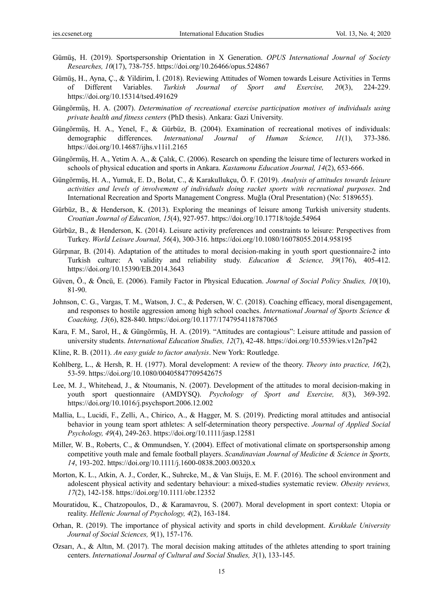- Gümüş, H. (2019). Sportspersonship Orientation in X Generation. *OPUS International Journal of Society Researches, 10*(17), 738-755. https://doi.org/10.26466/opus.524867
- Gümüş, H., Ayna, Ç., & Yildirim, İ. (2018). Reviewing Attitudes of Women towards Leisure Activities in Terms of Different Variables. *Turkish Journal of Sport and Exercise, 20*(3), 224-229. https://doi.org/10.15314/tsed.491629
- Güngörmüş, H. A. (2007). *Determination of recreational exercise participation motives of individuals using private health and fitness centers* (PhD thesis). Ankara: Gazi University.
- Güngörmüş, H. A., Yenel, F., & Gürbüz, B. (2004). Examination of recreational motives of individuals: demographic differences. *International Journal of Human Science, 11*(1), 373-386. https://doi.org/10.14687/ijhs.v11i1.2165
- Güngörmüş, H. A., Yetim A. A., & Çalık, C. (2006). Research on spending the leisure time of lecturers worked in schools of physical education and sports in Ankara. *Kastamonu Education Journal, 14*(2), 653-666.
- Güngörmüş, H. A., Yumuk, E. D., Bolat, C., & Karakullukçu, Ö. F. (2019). *Analysis of attitudes towards leisure activities and levels of involvement of individuals doing racket sports with recreational purposes*. 2nd International Recreation and Sports Management Congress. Muğla (Oral Presentation) (No: 5189655).
- Gürbüz, B., & Henderson, K. (2013). Exploring the meanings of leisure among Turkish university students. *Croatian Journal of Education, 15*(4), 927-957. https://doi.org/10.17718/tojde.54964
- Gürbüz, B., & Henderson, K. (2014). Leisure activity preferences and constraints to leisure: Perspectives from Turkey. *World Leisure Journal, 56*(4), 300-316. https://doi.org/10.1080/16078055.2014.958195
- Gürpınar, B. (2014). Adaptation of the attitudes to moral decision-making in youth sport questionnaire-2 into Turkish culture: A validity and reliability study. *Education & Science, 39*(176), 405-412. https://doi.org/10.15390/EB.2014.3643
- Güven, Ö., & Öncü, E. (2006). Family Factor in Physical Education. *Journal of Social Policy Studies, 10*(10), 81-90.
- Johnson, C. G., Vargas, T. M., Watson, J. C., & Pedersen, W. C. (2018). Coaching efficacy, moral disengagement, and responses to hostile aggression among high school coaches. *International Journal of Sports Science & Coaching, 13*(6), 828-840. https://doi.org/10.1177/1747954118787065
- Kara, F. M., Sarol, H., & Güngörmüş, H. A. (2019). "Attitudes are contagious": Leisure attitude and passion of university students. *International Education Studies, 12*(7), 42-48. https://doi.org/10.5539/ies.v12n7p42
- Kline, R. B. (2011). *An easy guide to factor analysis*. New York: Routledge.
- Kohlberg, L., & Hersh, R. H. (1977). Moral development: A review of the theory. *Theory into practice, 16*(2), 53-59. https://doi.org/10.1080/00405847709542675
- Lee, M. J., Whitehead, J., & Ntoumanis, N. (2007). Development of the attitudes to moral decision-making in youth sport questionnaire (AMDYSQ). *Psychology of Sport and Exercise, 8*(3), 369-392. https://doi.org/10.1016/j.psychsport.2006.12.002
- Mallia, L., Lucidi, F., Zelli, A., Chirico, A., & Hagger, M. S. (2019). Predicting moral attitudes and antisocial behavior in young team sport athletes: A self-determination theory perspective. *Journal of Applied Social Psychology, 49*(4), 249-263. https://doi.org/10.1111/jasp.12581
- Miller, W. B., Roberts, C., & Ommundsen, Y. (2004). Effect of motivational climate on sportspersonship among competitive youth male and female football players. *Scandinavian Journal of Medicine & Science in Sports, 14*, 193-202. https://doi.org/10.1111/j.1600-0838.2003.00320.x
- Morton, K. L., Atkin, A. J., Corder, K., Suhrcke, M., & Van Sluijs, E. M. F. (2016). The school environment and adolescent physical activity and sedentary behaviour: a mixed-studies systematic review. *Obesity reviews, 17*(2), 142-158. https://doi.org/10.1111/obr.12352
- Mouratidou, K., Chatzopoulos, D., & Karamavrou, S. (2007). Moral development in sport context: Utopia or reality. *Hellenic Journal of Psychology, 4*(2), 163-184.
- Orhan, R. (2019). The importance of physical activity and sports in child development. *Kırıkkale University Journal of Social Sciences, 9*(1), 157-176.
- Ozsarı, A., & Altın, M. (2017). The moral decision making attitudes of the athletes attending to sport training centers. *International Journal of Cultural and Social Studies, 3*(1), 133-145.